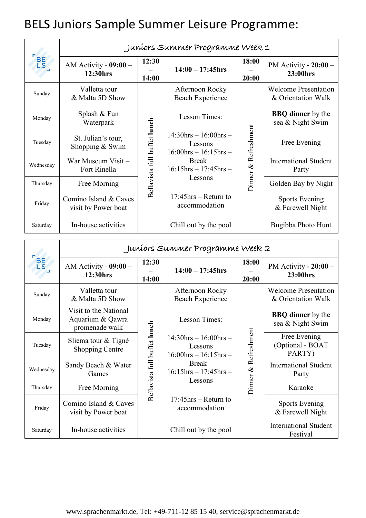## BELS Juniors Sample Summer Leisure Programme:

| BE <sub>S</sub> | Juníors Summer Programme Week 1              |                              |                                                                                                                                       |                      |                                                   |  |
|-----------------|----------------------------------------------|------------------------------|---------------------------------------------------------------------------------------------------------------------------------------|----------------------|---------------------------------------------------|--|
|                 | AM Activity - $09:00 -$<br>12:30hrs          | 12:30<br>14:00               | $14:00 - 17:45$ hrs                                                                                                                   | 18:00<br>20:00       | PM Activity - $20:00 -$<br>23:00hrs               |  |
| Sunday          | Valletta tour<br>& Malta 5D Show             | Bellavista full buffet lunch | Afternoon Rocky<br><b>Beach Experience</b>                                                                                            | Dinner & Refreshment | <b>Welcome Presentation</b><br>& Orientation Walk |  |
| Monday          | Splash & Fun<br>Waterpark                    |                              | Lesson Times:                                                                                                                         |                      | <b>BBQ</b> dinner by the<br>sea & Night Swim      |  |
| Tuesday         | St. Julian's tour,<br>Shopping & Swim        |                              | $14:30$ hrs $- 16:00$ hrs $-$<br>Lessons<br>$16:00$ hrs $- 16:15$ hrs $-$<br><b>Break</b><br>$16:15$ hrs $- 17:45$ hrs $-$<br>Lessons |                      | Free Evening                                      |  |
| Wednesday       | War Museum Visit -<br>Fort Rinella           |                              |                                                                                                                                       |                      | <b>International Student</b><br>Party             |  |
| Thursday        | Free Morning                                 |                              |                                                                                                                                       |                      | Golden Bay by Night                               |  |
| Friday          | Comino Island & Caves<br>visit by Power boat |                              | $17:45$ hrs – Return to<br>accommodation                                                                                              |                      | <b>Sports Evening</b><br>& Farewell Night         |  |
| Saturday        | In-house activities                          |                              | Chill out by the pool                                                                                                                 |                      | Bugibba Photo Hunt                                |  |

| BE <sub>S</sub> | Juníors Summer Programme Week 2                             |                              |                                                                                                                                       |                      |                                                   |  |
|-----------------|-------------------------------------------------------------|------------------------------|---------------------------------------------------------------------------------------------------------------------------------------|----------------------|---------------------------------------------------|--|
|                 | AM Activity - $09:00 -$<br>12:30hrs                         | 12:30<br>14:00               | $14:00 - 17:45$ hrs                                                                                                                   | 18:00<br>20:00       | PM Activity $-20:00-$<br>23:00hrs                 |  |
| Sunday          | Valletta tour<br>& Malta 5D Show                            | Bellavista full buffet lunch | Afternoon Rocky<br>Beach Experience                                                                                                   | Dinner & Refreshment | <b>Welcome Presentation</b><br>& Orientation Walk |  |
| Monday          | Visit to the National<br>Aquarium & Qawra<br>promenade walk |                              | Lesson Times:                                                                                                                         |                      | <b>BBQ</b> dinner by the<br>sea & Night Swim      |  |
| Tuesday         | Sliema tour & Tignè<br><b>Shopping Centre</b>               |                              | $14:30$ hrs $- 16:00$ hrs $-$<br>Lessons<br>$16:00$ hrs $- 16:15$ hrs $-$<br><b>Break</b><br>$16:15$ hrs $- 17:45$ hrs $-$<br>Lessons |                      | Free Evening<br>(Optional - BOAT<br>PARTY)        |  |
| Wednesday       | Sandy Beach & Water<br>Games                                |                              |                                                                                                                                       |                      | <b>International Student</b><br>Party             |  |
| Thursday        | Free Morning                                                |                              |                                                                                                                                       |                      | Karaoke                                           |  |
| Friday          | Comino Island & Caves<br>visit by Power boat                |                              | $17:45$ hrs – Return to<br>accommodation                                                                                              |                      | <b>Sports Evening</b><br>& Farewell Night         |  |
| Saturday        | In-house activities                                         |                              | Chill out by the pool                                                                                                                 |                      | <b>International Student</b><br>Festival          |  |